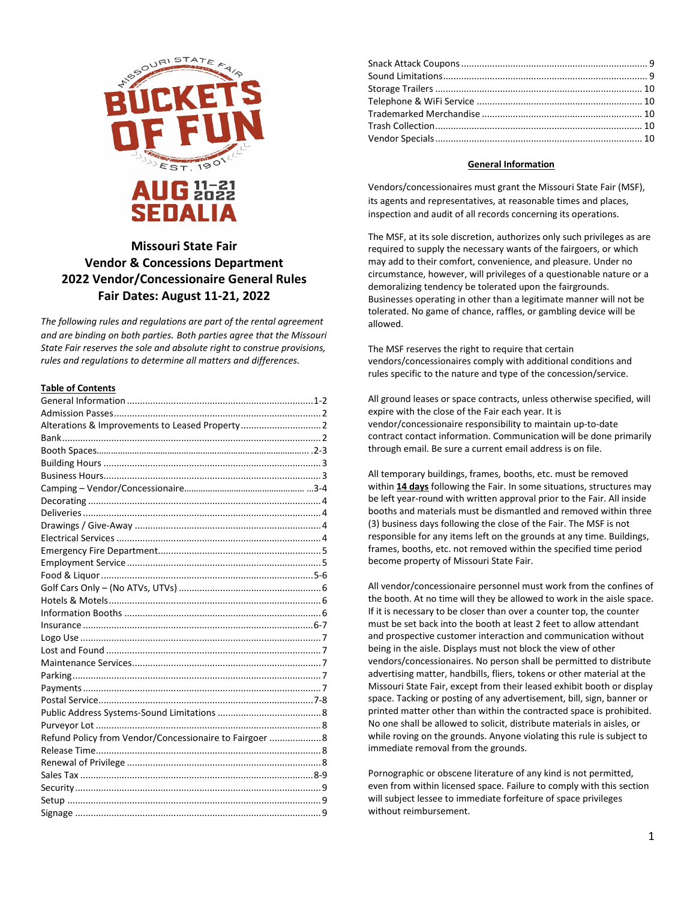

# **Missouri State Fair Vendor & Concessions Department 2022 Vendor/Concessionaire General Rules Fair Dates: August 11-21, 2022**

*The following rules and regulations are part of the rental agreement and are binding on both parties. Both parties agree that the Missouri State Fair reserves the sole and absolute right to construe provisions, rules and regulations to determine all matters and differences.*

# **Table of Contents**

| Refund Policy from Vendor/Concessionaire to Fairgoer  8 |  |
|---------------------------------------------------------|--|
|                                                         |  |
|                                                         |  |
|                                                         |  |
|                                                         |  |
|                                                         |  |
|                                                         |  |
|                                                         |  |

# **General Information**

Vendors/concessionaires must grant the Missouri State Fair (MSF), its agents and representatives, at reasonable times and places, inspection and audit of all records concerning its operations.

The MSF, at its sole discretion, authorizes only such privileges as are required to supply the necessary wants of the fairgoers, or which may add to their comfort, convenience, and pleasure. Under no circumstance, however, will privileges of a questionable nature or a demoralizing tendency be tolerated upon the fairgrounds. Businesses operating in other than a legitimate manner will not be tolerated. No game of chance, raffles, or gambling device will be allowed.

The MSF reserves the right to require that certain vendors/concessionaires comply with additional conditions and rules specific to the nature and type of the concession/service.

All ground leases or space contracts, unless otherwise specified, will expire with the close of the Fair each year. It is vendor/concessionaire responsibility to maintain up-to-date contract contact information. Communication will be done primarily through email. Be sure a current email address is on file.

All temporary buildings, frames, booths, etc. must be removed within **14 days** following the Fair. In some situations, structures may be left year-round with written approval prior to the Fair. All inside booths and materials must be dismantled and removed within three (3) business days following the close of the Fair. The MSF is not responsible for any items left on the grounds at any time. Buildings, frames, booths, etc. not removed within the specified time period become property of Missouri State Fair.

All vendor/concessionaire personnel must work from the confines of the booth. At no time will they be allowed to work in the aisle space. If it is necessary to be closer than over a counter top, the counter must be set back into the booth at least 2 feet to allow attendant and prospective customer interaction and communication without being in the aisle. Displays must not block the view of other vendors/concessionaires. No person shall be permitted to distribute advertising matter, handbills, fliers, tokens or other material at the Missouri State Fair, except from their leased exhibit booth or display space. Tacking or posting of any advertisement, bill, sign, banner or printed matter other than within the contracted space is prohibited. No one shall be allowed to solicit, distribute materials in aisles, or while roving on the grounds. Anyone violating this rule is subject to immediate removal from the grounds.

Pornographic or obscene literature of any kind is not permitted, even from within licensed space. Failure to comply with this section will subject lessee to immediate forfeiture of space privileges without reimbursement.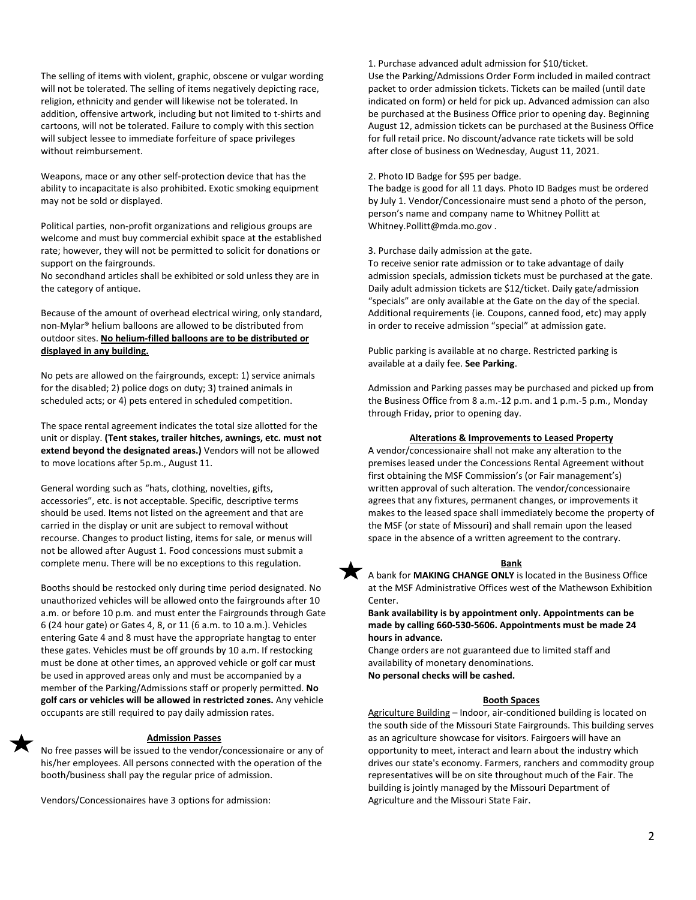The selling of items with violent, graphic, obscene or vulgar wording will not be tolerated. The selling of items negatively depicting race, religion, ethnicity and gender will likewise not be tolerated. In addition, offensive artwork, including but not limited to t-shirts and cartoons, will not be tolerated. Failure to comply with this section will subject lessee to immediate forfeiture of space privileges without reimbursement.

Weapons, mace or any other self-protection device that has the ability to incapacitate is also prohibited. Exotic smoking equipment may not be sold or displayed.

Political parties, non-profit organizations and religious groups are welcome and must buy commercial exhibit space at the established rate; however, they will not be permitted to solicit for donations or support on the fairgrounds.

No secondhand articles shall be exhibited or sold unless they are in the category of antique.

Because of the amount of overhead electrical wiring, only standard, non-Mylar® helium balloons are allowed to be distributed from outdoor sites. **No helium-filled balloons are to be distributed or displayed in any building.**

No pets are allowed on the fairgrounds, except: 1) service animals for the disabled; 2) police dogs on duty; 3) trained animals in scheduled acts; or 4) pets entered in scheduled competition.

The space rental agreement indicates the total size allotted for the unit or display. **(Tent stakes, trailer hitches, awnings, etc. must not extend beyond the designated areas.)** Vendors will not be allowed to move locations after 5p.m., August 11.

General wording such as "hats, clothing, novelties, gifts, accessories", etc. is not acceptable. Specific, descriptive terms should be used. Items not listed on the agreement and that are carried in the display or unit are subject to removal without recourse. Changes to product listing, items for sale, or menus will not be allowed after August 1. Food concessions must submit a complete menu. There will be no exceptions to this regulation.

Booths should be restocked only during time period designated. No unauthorized vehicles will be allowed onto the fairgrounds after 10 a.m. or before 10 p.m. and must enter the Fairgrounds through Gate 6 (24 hour gate) or Gates 4, 8, or 11 (6 a.m. to 10 a.m.). Vehicles entering Gate 4 and 8 must have the appropriate hangtag to enter these gates. Vehicles must be off grounds by 10 a.m. If restocking must be done at other times, an approved vehicle or golf car must be used in approved areas only and must be accompanied by a member of the Parking/Admissions staff or properly permitted. **No golf cars or vehicles will be allowed in restricted zones.** Any vehicle occupants are still required to pay daily admission rates.

# **Admission Passes**

No free passes will be issued to the vendor/concessionaire or any of his/her employees. All persons connected with the operation of the booth/business shall pay the regular price of admission.

Vendors/Concessionaires have 3 options for admission:

# 1. Purchase advanced adult admission for \$10/ticket.

Use the Parking/Admissions Order Form included in mailed contract packet to order admission tickets. Tickets can be mailed (until date indicated on form) or held for pick up. Advanced admission can also be purchased at the Business Office prior to opening day. Beginning August 12, admission tickets can be purchased at the Business Office for full retail price. No discount/advance rate tickets will be sold after close of business on Wednesday, August 11, 2021.

2. Photo ID Badge for \$95 per badge.

The badge is good for all 11 days. Photo ID Badges must be ordered by July 1. Vendor/Concessionaire must send a photo of the person, person's name and company name to Whitney Pollitt at Whitney.Pollitt@mda.mo.gov .

3. Purchase daily admission at the gate.

To receive senior rate admission or to take advantage of daily admission specials, admission tickets must be purchased at the gate. Daily adult admission tickets are \$12/ticket. Daily gate/admission "specials" are only available at the Gate on the day of the special. Additional requirements (ie. Coupons, canned food, etc) may apply in order to receive admission "special" at admission gate.

Public parking is available at no charge. Restricted parking is available at a daily fee. **See Parking**.

Admission and Parking passes may be purchased and picked up from the Business Office from 8 a.m.-12 p.m. and 1 p.m.-5 p.m., Monday through Friday, prior to opening day.

# **Alterations & Improvements to Leased Property**

A vendor/concessionaire shall not make any alteration to the premises leased under the Concessions Rental Agreement without first obtaining the MSF Commission's (or Fair management's) written approval of such alteration. The vendor/concessionaire agrees that any fixtures, permanent changes, or improvements it makes to the leased space shall immediately become the property of the MSF (or state of Missouri) and shall remain upon the leased space in the absence of a written agreement to the contrary.



### **Bank**

A bank for **MAKING CHANGE ONLY** is located in the Business Office at the MSF Administrative Offices west of the Mathewson Exhibition Center.

**Bank availability is by appointment only. Appointments can be made by calling 660-530-5606. Appointments must be made 24 hours in advance.** 

Change orders are not guaranteed due to limited staff and availability of monetary denominations. **No personal checks will be cashed.**

### **Booth Spaces**

Agriculture Building – Indoor, air-conditioned building is located on the south side of the Missouri State Fairgrounds. This building serves as an agriculture showcase for visitors. Fairgoers will have an opportunity to meet, interact and learn about the industry which drives our state's economy. Farmers, ranchers and commodity group representatives will be on site throughout much of the Fair. The building is jointly managed by the Missouri Department of Agriculture and the Missouri State Fair.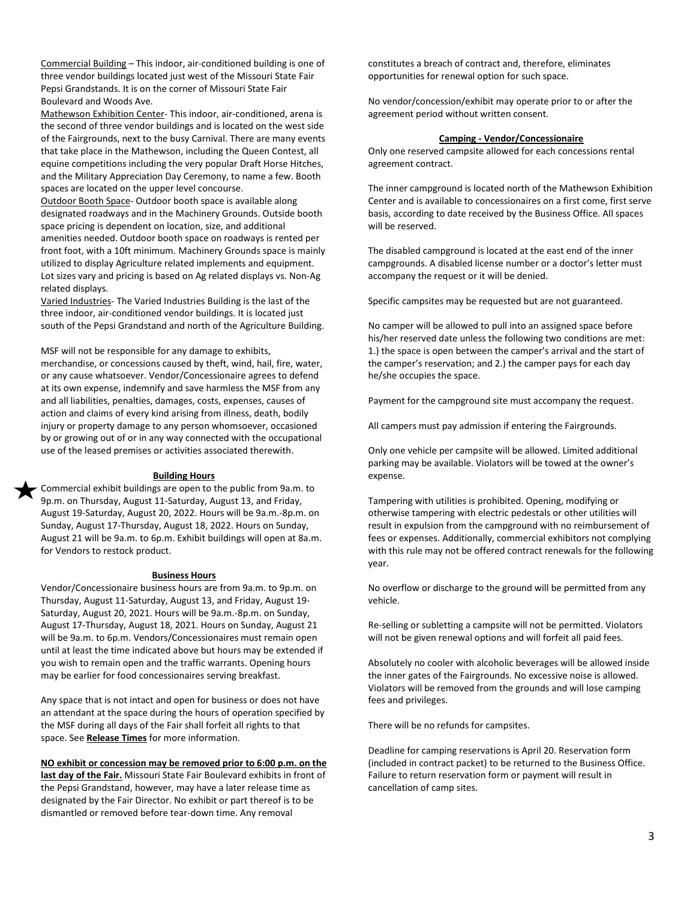Commercial Building – This indoor, air-conditioned building is one of three vendor buildings located just west of the Missouri State Fair Pepsi Grandstands. It is on the corner of Missouri State Fair Boulevard and Woods Ave.

Mathewson Exhibition Center- This indoor, air-conditioned, arena is the second of three vendor buildings and is located on the west side of the Fairgrounds, next to the busy Carnival. There are many events that take place in the Mathewson, including the Queen Contest, all equine competitions including the very popular Draft Horse Hitches, and the Military Appreciation Day Ceremony, to name a few. Booth spaces are located on the upper level concourse.

Outdoor Booth Space- Outdoor booth space is available along designated roadways and in the Machinery Grounds. Outside booth space pricing is dependent on location, size, and additional amenities needed. Outdoor booth space on roadways is rented per front foot, with a 10ft minimum. Machinery Grounds space is mainly utilized to display Agriculture related implements and equipment. Lot sizes vary and pricing is based on Ag related displays vs. Non-Ag related displays.

Varied Industries- The Varied Industries Building is the last of the three indoor, air-conditioned vendor buildings. It is located just south of the Pepsi Grandstand and north of the Agriculture Building.

MSF will not be responsible for any damage to exhibits,

merchandise, or concessions caused by theft, wind, hail, fire, water, or any cause whatsoever. Vendor/Concessionaire agrees to defend at its own expense, indemnify and save harmless the MSF from any and all liabilities, penalties, damages, costs, expenses, causes of action and claims of every kind arising from illness, death, bodily injury or property damage to any person whomsoever, occasioned by or growing out of or in any way connected with the occupational use of the leased premises or activities associated therewith.

#### **Building Hours**

Commercial exhibit buildings are open to the public from 9a.m. to 9p.m. on Thursday, August 11-Saturday, August 13, and Friday, August 19-Saturday, August 20, 2022. Hours will be 9a.m.-8p.m. on Sunday, August 17-Thursday, August 18, 2022. Hours on Sunday, August 21 will be 9a.m. to 6p.m. Exhibit buildings will open at 8a.m. for Vendors to restock product.

#### **Business Hours**

Vendor/Concessionaire business hours are from 9a.m. to 9p.m. on Thursday, August 11-Saturday, August 13, and Friday, August 19- Saturday, August 20, 2021. Hours will be 9a.m.-8p.m. on Sunday, August 17-Thursday, August 18, 2021. Hours on Sunday, August 21 will be 9a.m. to 6p.m. Vendors/Concessionaires must remain open until at least the time indicated above but hours may be extended if you wish to remain open and the traffic warrants. Opening hours may be earlier for food concessionaires serving breakfast.

Any space that is not intact and open for business or does not have an attendant at the space during the hours of operation specified by the MSF during all days of the Fair shall forfeit all rights to that space. See **Release Times** for more information.

#### **NO exhibit or concession may be removed prior to 6:00 p.m. on the**

**last day of the Fair.** Missouri State Fair Boulevard exhibits in front of the Pepsi Grandstand, however, may have a later release time as designated by the Fair Director. No exhibit or part thereof is to be dismantled or removed before tear-down time. Any removal

constitutes a breach of contract and, therefore, eliminates opportunities for renewal option for such space.

No vendor/concession/exhibit may operate prior to or after the agreement period without written consent.

# **Camping - Vendor/Concessionaire**

Only one reserved campsite allowed for each concessions rental agreement contract.

The inner campground is located north of the Mathewson Exhibition Center and is available to concessionaires on a first come, first serve basis, according to date received by the Business Office. All spaces will be reserved.

The disabled campground is located at the east end of the inner campgrounds. A disabled license number or a doctor's letter must accompany the request or it will be denied.

Specific campsites may be requested but are not guaranteed.

No camper will be allowed to pull into an assigned space before his/her reserved date unless the following two conditions are met: 1.) the space is open between the camper's arrival and the start of the camper's reservation; and 2.) the camper pays for each day he/she occupies the space.

Payment for the campground site must accompany the request.

All campers must pay admission if entering the Fairgrounds.

Only one vehicle per campsite will be allowed. Limited additional parking may be available. Violators will be towed at the owner's expense.

Tampering with utilities is prohibited. Opening, modifying or otherwise tampering with electric pedestals or other utilities will result in expulsion from the campground with no reimbursement of fees or expenses. Additionally, commercial exhibitors not complying with this rule may not be offered contract renewals for the following year.

No overflow or discharge to the ground will be permitted from any vehicle.

Re-selling or subletting a campsite will not be permitted. Violators will not be given renewal options and will forfeit all paid fees.

Absolutely no cooler with alcoholic beverages will be allowed inside the inner gates of the Fairgrounds. No excessive noise is allowed. Violators will be removed from the grounds and will lose camping fees and privileges.

There will be no refunds for campsites.

Deadline for camping reservations is April 20. Reservation form (included in contract packet) to be returned to the Business Office. Failure to return reservation form or payment will result in cancellation of camp sites.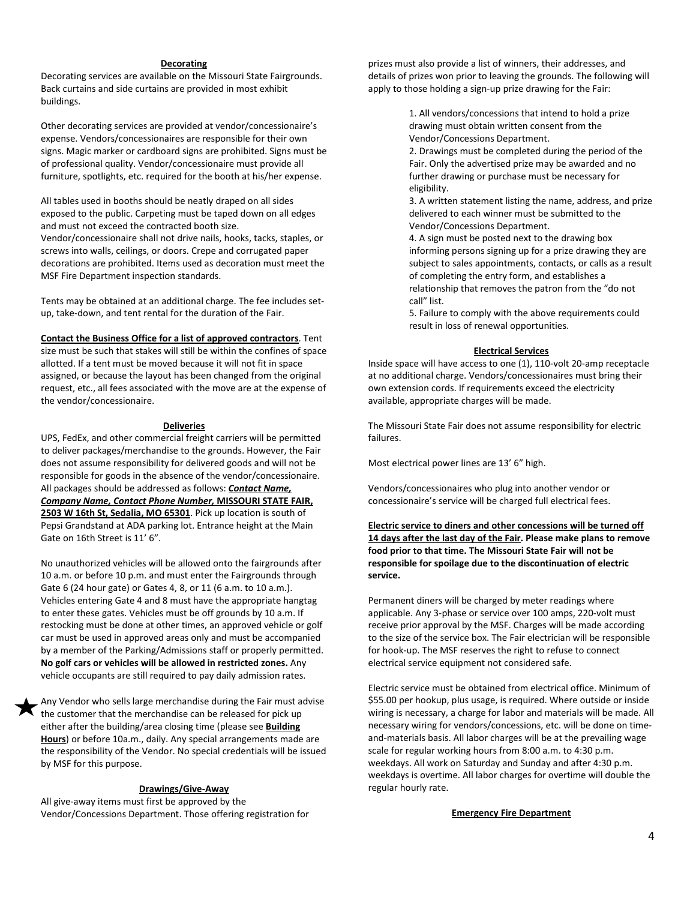# **Decorating**

Decorating services are available on the Missouri State Fairgrounds. Back curtains and side curtains are provided in most exhibit buildings.

Other decorating services are provided at vendor/concessionaire's expense. Vendors/concessionaires are responsible for their own signs. Magic marker or cardboard signs are prohibited. Signs must be of professional quality. Vendor/concessionaire must provide all furniture, spotlights, etc. required for the booth at his/her expense.

All tables used in booths should be neatly draped on all sides exposed to the public. Carpeting must be taped down on all edges and must not exceed the contracted booth size. Vendor/concessionaire shall not drive nails, hooks, tacks, staples, or screws into walls, ceilings, or doors. Crepe and corrugated paper decorations are prohibited. Items used as decoration must meet the MSF Fire Department inspection standards.

Tents may be obtained at an additional charge. The fee includes setup, take-down, and tent rental for the duration of the Fair.

**Contact the Business Office for a list of approved contractors**. Tent size must be such that stakes will still be within the confines of space allotted. If a tent must be moved because it will not fit in space assigned, or because the layout has been changed from the original request, etc., all fees associated with the move are at the expense of the vendor/concessionaire.

#### **Deliveries**

UPS, FedEx, and other commercial freight carriers will be permitted to deliver packages/merchandise to the grounds. However, the Fair does not assume responsibility for delivered goods and will not be responsible for goods in the absence of the vendor/concessionaire. All packages should be addressed as follows: *Contact Name, Company Name, Contact Phone Number,* **MISSOURI STATE FAIR, 2503 W 16th St, Sedalia, MO 65301**. Pick up location is south of Pepsi Grandstand at ADA parking lot. Entrance height at the Main Gate on 16th Street is 11' 6".

No unauthorized vehicles will be allowed onto the fairgrounds after 10 a.m. or before 10 p.m. and must enter the Fairgrounds through Gate 6 (24 hour gate) or Gates 4, 8, or 11 (6 a.m. to 10 a.m.). Vehicles entering Gate 4 and 8 must have the appropriate hangtag to enter these gates. Vehicles must be off grounds by 10 a.m. If restocking must be done at other times, an approved vehicle or golf car must be used in approved areas only and must be accompanied by a member of the Parking/Admissions staff or properly permitted. **No golf cars or vehicles will be allowed in restricted zones.** Any vehicle occupants are still required to pay daily admission rates.

Any Vendor who sells large merchandise during the Fair must advise the customer that the merchandise can be released for pick up either after the building/area closing time (please see **Building Hours**) or before 10a.m., daily. Any special arrangements made are the responsibility of the Vendor. No special credentials will be issued by MSF for this purpose.

# **Drawings/Give-Away**

All give-away items must first be approved by the Vendor/Concessions Department. Those offering registration for prizes must also provide a list of winners, their addresses, and details of prizes won prior to leaving the grounds. The following will apply to those holding a sign-up prize drawing for the Fair:

> 1. All vendors/concessions that intend to hold a prize drawing must obtain written consent from the Vendor/Concessions Department.

2. Drawings must be completed during the period of the Fair. Only the advertised prize may be awarded and no further drawing or purchase must be necessary for eligibility.

3. A written statement listing the name, address, and prize delivered to each winner must be submitted to the Vendor/Concessions Department.

4. A sign must be posted next to the drawing box informing persons signing up for a prize drawing they are subject to sales appointments, contacts, or calls as a result of completing the entry form, and establishes a relationship that removes the patron from the "do not call" list.

5. Failure to comply with the above requirements could result in loss of renewal opportunities.

### **Electrical Services**

Inside space will have access to one (1), 110-volt 20-amp receptacle at no additional charge. Vendors/concessionaires must bring their own extension cords. If requirements exceed the electricity available, appropriate charges will be made.

The Missouri State Fair does not assume responsibility for electric failures.

Most electrical power lines are 13' 6" high.

Vendors/concessionaires who plug into another vendor or concessionaire's service will be charged full electrical fees.

**Electric service to diners and other concessions will be turned off 14 days after the last day of the Fair. Please make plans to remove food prior to that time. The Missouri State Fair will not be responsible for spoilage due to the discontinuation of electric service.** 

Permanent diners will be charged by meter readings where applicable. Any 3-phase or service over 100 amps, 220-volt must receive prior approval by the MSF. Charges will be made according to the size of the service box. The Fair electrician will be responsible for hook-up. The MSF reserves the right to refuse to connect electrical service equipment not considered safe.

Electric service must be obtained from electrical office. Minimum of \$55.00 per hookup, plus usage, is required. Where outside or inside wiring is necessary, a charge for labor and materials will be made. All necessary wiring for vendors/concessions, etc. will be done on timeand-materials basis. All labor charges will be at the prevailing wage scale for regular working hours from 8:00 a.m. to 4:30 p.m. weekdays. All work on Saturday and Sunday and after 4:30 p.m. weekdays is overtime. All labor charges for overtime will double the regular hourly rate.

**Emergency Fire Department**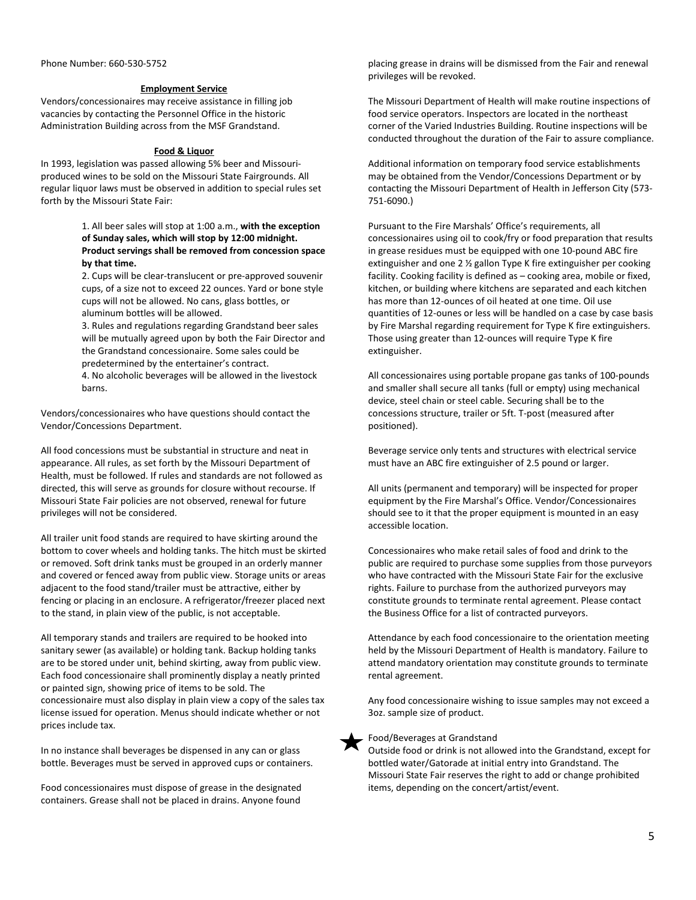# **Employment Service**

Vendors/concessionaires may receive assistance in filling job vacancies by contacting the Personnel Office in the historic Administration Building across from the MSF Grandstand.

# **Food & Liquor**

In 1993, legislation was passed allowing 5% beer and Missouriproduced wines to be sold on the Missouri State Fairgrounds. All regular liquor laws must be observed in addition to special rules set forth by the Missouri State Fair:

# 1. All beer sales will stop at 1:00 a.m., **with the exception of Sunday sales, which will stop by 12:00 midnight. Product servings shall be removed from concession space by that time.**

2. Cups will be clear-translucent or pre-approved souvenir cups, of a size not to exceed 22 ounces. Yard or bone style cups will not be allowed. No cans, glass bottles, or aluminum bottles will be allowed.

3. Rules and regulations regarding Grandstand beer sales will be mutually agreed upon by both the Fair Director and the Grandstand concessionaire. Some sales could be predetermined by the entertainer's contract. 4. No alcoholic beverages will be allowed in the livestock barns.

Vendors/concessionaires who have questions should contact the Vendor/Concessions Department.

All food concessions must be substantial in structure and neat in appearance. All rules, as set forth by the Missouri Department of Health, must be followed. If rules and standards are not followed as directed, this will serve as grounds for closure without recourse. If Missouri State Fair policies are not observed, renewal for future privileges will not be considered.

All trailer unit food stands are required to have skirting around the bottom to cover wheels and holding tanks. The hitch must be skirted or removed. Soft drink tanks must be grouped in an orderly manner and covered or fenced away from public view. Storage units or areas adjacent to the food stand/trailer must be attractive, either by fencing or placing in an enclosure. A refrigerator/freezer placed next to the stand, in plain view of the public, is not acceptable.

All temporary stands and trailers are required to be hooked into sanitary sewer (as available) or holding tank. Backup holding tanks are to be stored under unit, behind skirting, away from public view. Each food concessionaire shall prominently display a neatly printed or painted sign, showing price of items to be sold. The concessionaire must also display in plain view a copy of the sales tax license issued for operation. Menus should indicate whether or not prices include tax.

In no instance shall beverages be dispensed in any can or glass bottle. Beverages must be served in approved cups or containers.

Food concessionaires must dispose of grease in the designated containers. Grease shall not be placed in drains. Anyone found

placing grease in drains will be dismissed from the Fair and renewal privileges will be revoked.

The Missouri Department of Health will make routine inspections of food service operators. Inspectors are located in the northeast corner of the Varied Industries Building. Routine inspections will be conducted throughout the duration of the Fair to assure compliance.

Additional information on temporary food service establishments may be obtained from the Vendor/Concessions Department or by contacting the Missouri Department of Health in Jefferson City (573- 751-6090.)

Pursuant to the Fire Marshals' Office's requirements, all concessionaires using oil to cook/fry or food preparation that results in grease residues must be equipped with one 10-pound ABC fire extinguisher and one 2 ½ gallon Type K fire extinguisher per cooking facility. Cooking facility is defined as – cooking area, mobile or fixed, kitchen, or building where kitchens are separated and each kitchen has more than 12-ounces of oil heated at one time. Oil use quantities of 12-ounes or less will be handled on a case by case basis by Fire Marshal regarding requirement for Type K fire extinguishers. Those using greater than 12-ounces will require Type K fire extinguisher.

All concessionaires using portable propane gas tanks of 100-pounds and smaller shall secure all tanks (full or empty) using mechanical device, steel chain or steel cable. Securing shall be to the concessions structure, trailer or 5ft. T-post (measured after positioned).

Beverage service only tents and structures with electrical service must have an ABC fire extinguisher of 2.5 pound or larger.

All units (permanent and temporary) will be inspected for proper equipment by the Fire Marshal's Office. Vendor/Concessionaires should see to it that the proper equipment is mounted in an easy accessible location.

Concessionaires who make retail sales of food and drink to the public are required to purchase some supplies from those purveyors who have contracted with the Missouri State Fair for the exclusive rights. Failure to purchase from the authorized purveyors may constitute grounds to terminate rental agreement. Please contact the Business Office for a list of contracted purveyors.

Attendance by each food concessionaire to the orientation meeting held by the Missouri Department of Health is mandatory. Failure to attend mandatory orientation may constitute grounds to terminate rental agreement.

Any food concessionaire wishing to issue samples may not exceed a 3oz. sample size of product.



# Food/Beverages at Grandstand

Outside food or drink is not allowed into the Grandstand, except for bottled water/Gatorade at initial entry into Grandstand. The Missouri State Fair reserves the right to add or change prohibited items, depending on the concert/artist/event.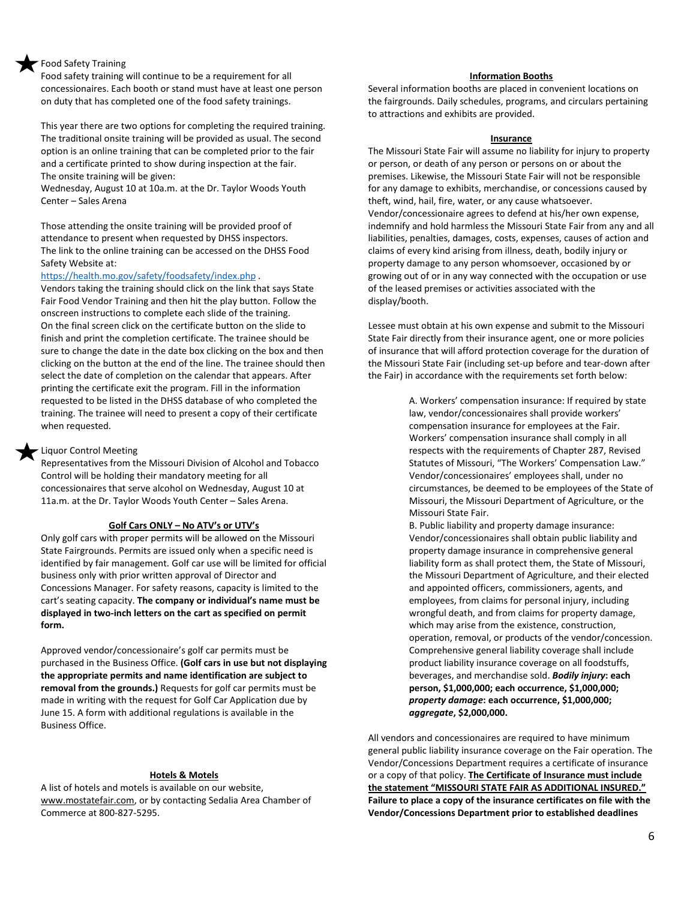# Food Safety Training

Food safety training will continue to be a requirement for all concessionaires. Each booth or stand must have at least one person on duty that has completed one of the food safety trainings.

This year there are two options for completing the required training. The traditional onsite training will be provided as usual. The second option is an online training that can be completed prior to the fair and a certificate printed to show during inspection at the fair. The onsite training will be given:

Wednesday, August 10 at 10a.m. at the Dr. Taylor Woods Youth Center – Sales Arena

Those attending the onsite training will be provided proof of attendance to present when requested by DHSS inspectors. The link to the online training can be accessed on the DHSS Food Safety Website at:

# https://health.mo.gov/safety/foodsafety/index.php .

Vendors taking the training should click on the link that says State Fair Food Vendor Training and then hit the play button. Follow the onscreen instructions to complete each slide of the training. On the final screen click on the certificate button on the slide to finish and print the completion certificate. The trainee should be sure to change the date in the date box clicking on the box and then clicking on the button at the end of the line. The trainee should then select the date of completion on the calendar that appears. After printing the certificate exit the program. Fill in the information requested to be listed in the DHSS database of who completed the training. The trainee will need to present a copy of their certificate when requested.

# Liquor Control Meeting

Representatives from the Missouri Division of Alcohol and Tobacco Control will be holding their mandatory meeting for all concessionaires that serve alcohol on Wednesday, August 10 at 11a.m. at the Dr. Taylor Woods Youth Center – Sales Arena.

#### **Golf Cars ONLY – No ATV's or UTV's**

Only golf cars with proper permits will be allowed on the Missouri State Fairgrounds. Permits are issued only when a specific need is identified by fair management. Golf car use will be limited for official business only with prior written approval of Director and Concessions Manager. For safety reasons, capacity is limited to the cart's seating capacity. **The company or individual's name must be displayed in two-inch letters on the cart as specified on permit form.**

Approved vendor/concessionaire's golf car permits must be purchased in the Business Office. **(Golf cars in use but not displaying the appropriate permits and name identification are subject to removal from the grounds.)** Requests for golf car permits must be made in writing with the request for Golf Car Application due by June 15. A form with additional regulations is available in the Business Office.

#### **Hotels & Motels**

A list of hotels and motels is available on our website, www.mostatefair.com, or by contacting Sedalia Area Chamber of Commerce at 800-827-5295.

#### **Information Booths**

Several information booths are placed in convenient locations on the fairgrounds. Daily schedules, programs, and circulars pertaining to attractions and exhibits are provided.

#### **Insurance**

The Missouri State Fair will assume no liability for injury to property or person, or death of any person or persons on or about the premises. Likewise, the Missouri State Fair will not be responsible for any damage to exhibits, merchandise, or concessions caused by theft, wind, hail, fire, water, or any cause whatsoever. Vendor/concessionaire agrees to defend at his/her own expense, indemnify and hold harmless the Missouri State Fair from any and all liabilities, penalties, damages, costs, expenses, causes of action and claims of every kind arising from illness, death, bodily injury or property damage to any person whomsoever, occasioned by or growing out of or in any way connected with the occupation or use of the leased premises or activities associated with the display/booth.

Lessee must obtain at his own expense and submit to the Missouri State Fair directly from their insurance agent, one or more policies of insurance that will afford protection coverage for the duration of the Missouri State Fair (including set-up before and tear-down after the Fair) in accordance with the requirements set forth below:

> A. Workers' compensation insurance: If required by state law, vendor/concessionaires shall provide workers' compensation insurance for employees at the Fair. Workers' compensation insurance shall comply in all respects with the requirements of Chapter 287, Revised Statutes of Missouri, "The Workers' Compensation Law." Vendor/concessionaires' employees shall, under no circumstances, be deemed to be employees of the State of Missouri, the Missouri Department of Agriculture, or the Missouri State Fair.

B. Public liability and property damage insurance: Vendor/concessionaires shall obtain public liability and property damage insurance in comprehensive general liability form as shall protect them, the State of Missouri, the Missouri Department of Agriculture, and their elected and appointed officers, commissioners, agents, and employees, from claims for personal injury, including wrongful death, and from claims for property damage, which may arise from the existence, construction, operation, removal, or products of the vendor/concession. Comprehensive general liability coverage shall include product liability insurance coverage on all foodstuffs, beverages, and merchandise sold. *Bodily injury***: each person, \$1,000,000; each occurrence, \$1,000,000;**  *property damage***: each occurrence, \$1,000,000;**  *aggregate***, \$2,000,000.** 

All vendors and concessionaires are required to have minimum general public liability insurance coverage on the Fair operation. The Vendor/Concessions Department requires a certificate of insurance or a copy of that policy. **The Certificate of Insurance must include the statement "MISSOURI STATE FAIR AS ADDITIONAL INSURED." Failure to place a copy of the insurance certificates on file with the Vendor/Concessions Department prior to established deadlines**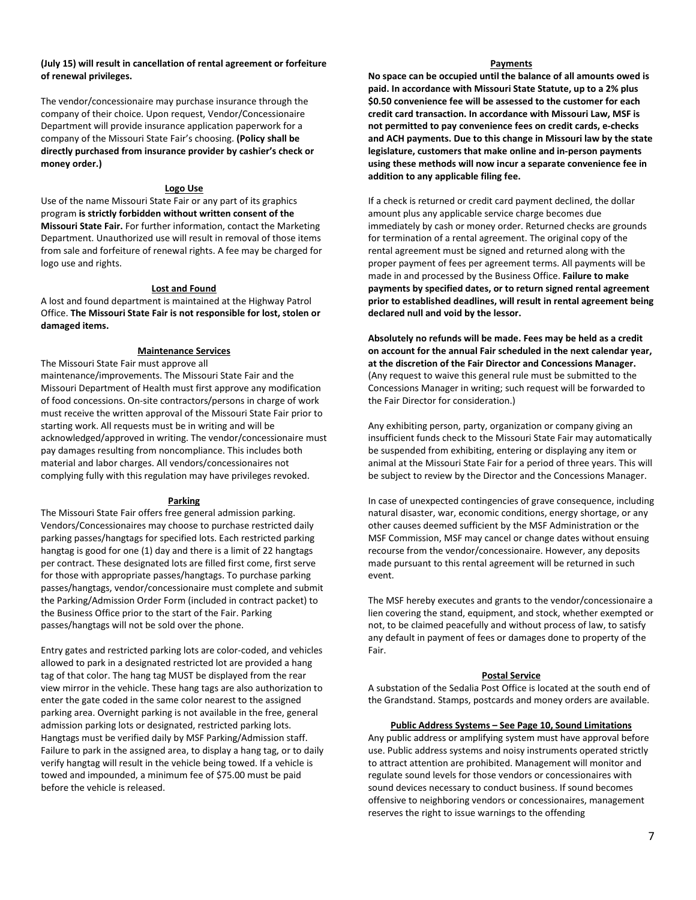# **(July 15) will result in cancellation of rental agreement or forfeiture of renewal privileges.**

The vendor/concessionaire may purchase insurance through the company of their choice. Upon request, Vendor/Concessionaire Department will provide insurance application paperwork for a company of the Missouri State Fair's choosing. **(Policy shall be directly purchased from insurance provider by cashier's check or money order.)**

# **Logo Use**

Use of the name Missouri State Fair or any part of its graphics program **is strictly forbidden without written consent of the Missouri State Fair.** For further information, contact the Marketing Department. Unauthorized use will result in removal of those items from sale and forfeiture of renewal rights. A fee may be charged for logo use and rights.

# **Lost and Found**

A lost and found department is maintained at the Highway Patrol Office. **The Missouri State Fair is not responsible for lost, stolen or damaged items.**

### **Maintenance Services**

The Missouri State Fair must approve all maintenance/improvements. The Missouri State Fair and the Missouri Department of Health must first approve any modification of food concessions. On-site contractors/persons in charge of work must receive the written approval of the Missouri State Fair prior to starting work. All requests must be in writing and will be acknowledged/approved in writing. The vendor/concessionaire must pay damages resulting from noncompliance. This includes both material and labor charges. All vendors/concessionaires not complying fully with this regulation may have privileges revoked.

#### **Parking**

The Missouri State Fair offers free general admission parking. Vendors/Concessionaires may choose to purchase restricted daily parking passes/hangtags for specified lots. Each restricted parking hangtag is good for one (1) day and there is a limit of 22 hangtags per contract. These designated lots are filled first come, first serve for those with appropriate passes/hangtags. To purchase parking passes/hangtags, vendor/concessionaire must complete and submit the Parking/Admission Order Form (included in contract packet) to the Business Office prior to the start of the Fair. Parking passes/hangtags will not be sold over the phone.

Entry gates and restricted parking lots are color-coded, and vehicles allowed to park in a designated restricted lot are provided a hang tag of that color. The hang tag MUST be displayed from the rear view mirror in the vehicle. These hang tags are also authorization to enter the gate coded in the same color nearest to the assigned parking area. Overnight parking is not available in the free, general admission parking lots or designated, restricted parking lots. Hangtags must be verified daily by MSF Parking/Admission staff. Failure to park in the assigned area, to display a hang tag, or to daily verify hangtag will result in the vehicle being towed. If a vehicle is towed and impounded, a minimum fee of \$75.00 must be paid before the vehicle is released.

#### **Payments**

**No space can be occupied until the balance of all amounts owed is paid. In accordance with Missouri State Statute, up to a 2% plus \$0.50 convenience fee will be assessed to the customer for each credit card transaction. In accordance with Missouri Law, MSF is not permitted to pay convenience fees on credit cards, e-checks and ACH payments. Due to this change in Missouri law by the state legislature, customers that make online and in-person payments using these methods will now incur a separate convenience fee in addition to any applicable filing fee.**

If a check is returned or credit card payment declined, the dollar amount plus any applicable service charge becomes due immediately by cash or money order. Returned checks are grounds for termination of a rental agreement. The original copy of the rental agreement must be signed and returned along with the proper payment of fees per agreement terms. All payments will be made in and processed by the Business Office. **Failure to make payments by specified dates, or to return signed rental agreement prior to established deadlines, will result in rental agreement being declared null and void by the lessor.** 

**Absolutely no refunds will be made. Fees may be held as a credit on account for the annual Fair scheduled in the next calendar year, at the discretion of the Fair Director and Concessions Manager.**  (Any request to waive this general rule must be submitted to the Concessions Manager in writing; such request will be forwarded to the Fair Director for consideration.)

Any exhibiting person, party, organization or company giving an insufficient funds check to the Missouri State Fair may automatically be suspended from exhibiting, entering or displaying any item or animal at the Missouri State Fair for a period of three years. This will be subject to review by the Director and the Concessions Manager.

In case of unexpected contingencies of grave consequence, including natural disaster, war, economic conditions, energy shortage, or any other causes deemed sufficient by the MSF Administration or the MSF Commission, MSF may cancel or change dates without ensuing recourse from the vendor/concessionaire. However, any deposits made pursuant to this rental agreement will be returned in such event.

The MSF hereby executes and grants to the vendor/concessionaire a lien covering the stand, equipment, and stock, whether exempted or not, to be claimed peacefully and without process of law, to satisfy any default in payment of fees or damages done to property of the Fair.

### **Postal Service**

A substation of the Sedalia Post Office is located at the south end of the Grandstand. Stamps, postcards and money orders are available.

#### **Public Address Systems – See Page 10, Sound Limitations**

Any public address or amplifying system must have approval before use. Public address systems and noisy instruments operated strictly to attract attention are prohibited. Management will monitor and regulate sound levels for those vendors or concessionaires with sound devices necessary to conduct business. If sound becomes offensive to neighboring vendors or concessionaires, management reserves the right to issue warnings to the offending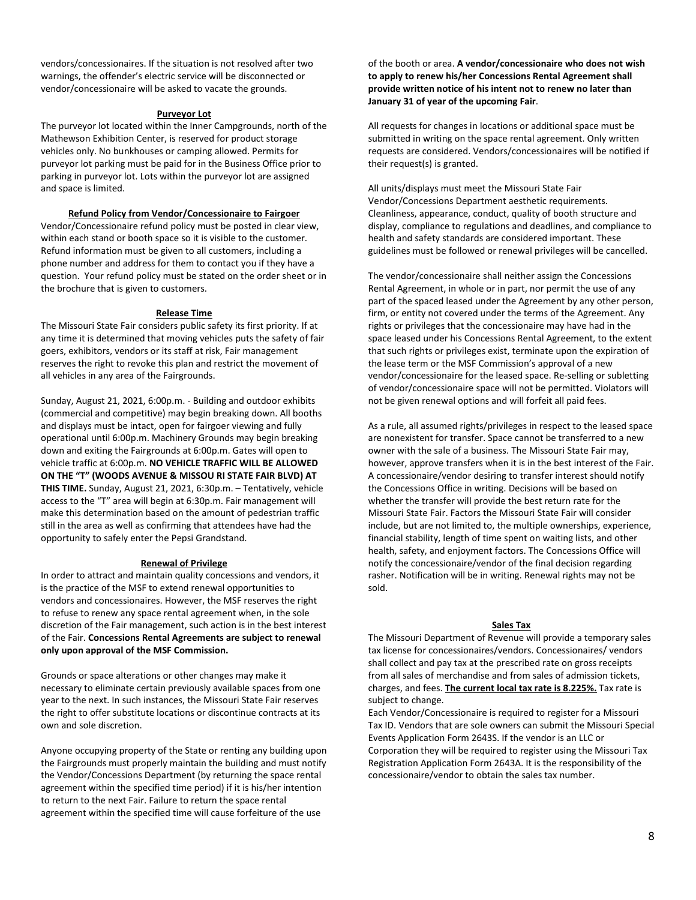vendors/concessionaires. If the situation is not resolved after two warnings, the offender's electric service will be disconnected or vendor/concessionaire will be asked to vacate the grounds.

#### **Purveyor Lot**

The purveyor lot located within the Inner Campgrounds, north of the Mathewson Exhibition Center, is reserved for product storage vehicles only. No bunkhouses or camping allowed. Permits for purveyor lot parking must be paid for in the Business Office prior to parking in purveyor lot. Lots within the purveyor lot are assigned and space is limited.

#### **Refund Policy from Vendor/Concessionaire to Fairgoer**

Vendor/Concessionaire refund policy must be posted in clear view, within each stand or booth space so it is visible to the customer. Refund information must be given to all customers, including a phone number and address for them to contact you if they have a question. Your refund policy must be stated on the order sheet or in the brochure that is given to customers.

#### **Release Time**

The Missouri State Fair considers public safety its first priority. If at any time it is determined that moving vehicles puts the safety of fair goers, exhibitors, vendors or its staff at risk, Fair management reserves the right to revoke this plan and restrict the movement of all vehicles in any area of the Fairgrounds.

Sunday, August 21, 2021, 6:00p.m. - Building and outdoor exhibits (commercial and competitive) may begin breaking down. All booths and displays must be intact, open for fairgoer viewing and fully operational until 6:00p.m. Machinery Grounds may begin breaking down and exiting the Fairgrounds at 6:00p.m. Gates will open to vehicle traffic at 6:00p.m. **NO VEHICLE TRAFFIC WILL BE ALLOWED ON THE "T" (WOODS AVENUE & MISSOU RI STATE FAIR BLVD) AT THIS TIME.** Sunday, August 21, 2021, 6:30p.m. – Tentatively, vehicle access to the "T" area will begin at 6:30p.m. Fair management will make this determination based on the amount of pedestrian traffic still in the area as well as confirming that attendees have had the opportunity to safely enter the Pepsi Grandstand.

#### **Renewal of Privilege**

In order to attract and maintain quality concessions and vendors, it is the practice of the MSF to extend renewal opportunities to vendors and concessionaires. However, the MSF reserves the right to refuse to renew any space rental agreement when, in the sole discretion of the Fair management, such action is in the best interest of the Fair. **Concessions Rental Agreements are subject to renewal only upon approval of the MSF Commission.**

Grounds or space alterations or other changes may make it necessary to eliminate certain previously available spaces from one year to the next. In such instances, the Missouri State Fair reserves the right to offer substitute locations or discontinue contracts at its own and sole discretion.

Anyone occupying property of the State or renting any building upon the Fairgrounds must properly maintain the building and must notify the Vendor/Concessions Department (by returning the space rental agreement within the specified time period) if it is his/her intention to return to the next Fair. Failure to return the space rental agreement within the specified time will cause forfeiture of the use

of the booth or area. **A vendor/concessionaire who does not wish to apply to renew his/her Concessions Rental Agreement shall provide written notice of his intent not to renew no later than January 31 of year of the upcoming Fair**.

All requests for changes in locations or additional space must be submitted in writing on the space rental agreement. Only written requests are considered. Vendors/concessionaires will be notified if their request(s) is granted.

All units/displays must meet the Missouri State Fair Vendor/Concessions Department aesthetic requirements. Cleanliness, appearance, conduct, quality of booth structure and display, compliance to regulations and deadlines, and compliance to health and safety standards are considered important. These guidelines must be followed or renewal privileges will be cancelled.

The vendor/concessionaire shall neither assign the Concessions Rental Agreement, in whole or in part, nor permit the use of any part of the spaced leased under the Agreement by any other person, firm, or entity not covered under the terms of the Agreement. Any rights or privileges that the concessionaire may have had in the space leased under his Concessions Rental Agreement, to the extent that such rights or privileges exist, terminate upon the expiration of the lease term or the MSF Commission's approval of a new vendor/concessionaire for the leased space. Re-selling or subletting of vendor/concessionaire space will not be permitted. Violators will not be given renewal options and will forfeit all paid fees.

As a rule, all assumed rights/privileges in respect to the leased space are nonexistent for transfer. Space cannot be transferred to a new owner with the sale of a business. The Missouri State Fair may, however, approve transfers when it is in the best interest of the Fair. A concessionaire/vendor desiring to transfer interest should notify the Concessions Office in writing. Decisions will be based on whether the transfer will provide the best return rate for the Missouri State Fair. Factors the Missouri State Fair will consider include, but are not limited to, the multiple ownerships, experience, financial stability, length of time spent on waiting lists, and other health, safety, and enjoyment factors. The Concessions Office will notify the concessionaire/vendor of the final decision regarding rasher. Notification will be in writing. Renewal rights may not be sold.

#### **Sales Tax**

The Missouri Department of Revenue will provide a temporary sales tax license for concessionaires/vendors. Concessionaires/ vendors shall collect and pay tax at the prescribed rate on gross receipts from all sales of merchandise and from sales of admission tickets, charges, and fees. **The current local tax rate is 8.225%.** Tax rate is subject to change.

Each Vendor/Concessionaire is required to register for a Missouri Tax ID. Vendors that are sole owners can submit the Missouri Special Events Application Form 2643S. If the vendor is an LLC or Corporation they will be required to register using the Missouri Tax Registration Application Form 2643A. It is the responsibility of the concessionaire/vendor to obtain the sales tax number.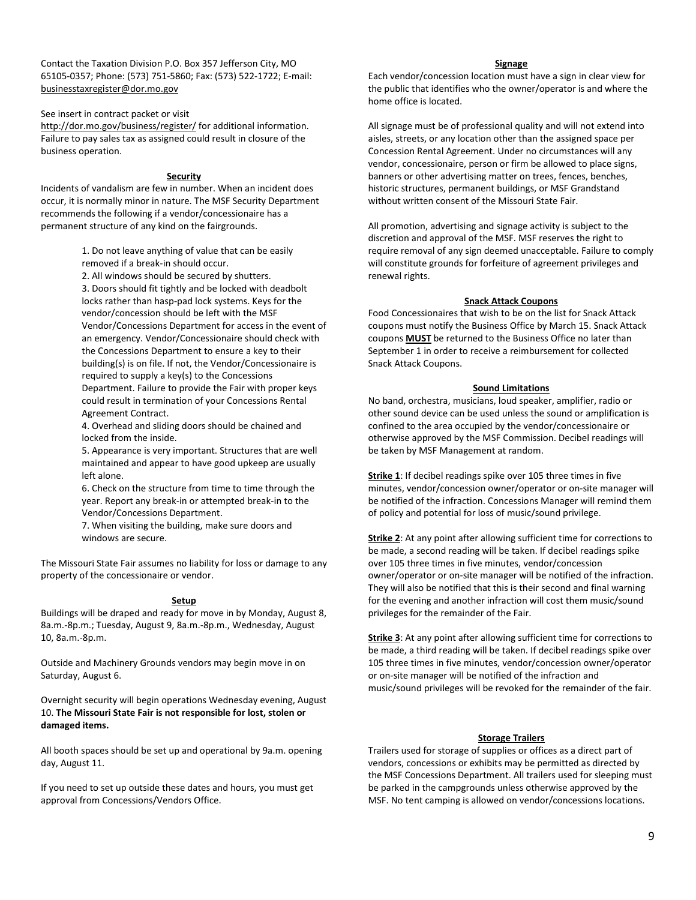Contact the Taxation Division P.O. Box 357 Jefferson City, MO 65105-0357; Phone: (573) 751-5860; Fax: (573) 522-1722; E-mail: businesstaxregister@dor.mo.gov

# See insert in contract packet or visit

http://dor.mo.gov/business/register/ for additional information. Failure to pay sales tax as assigned could result in closure of the business operation.

#### **Security**

Incidents of vandalism are few in number. When an incident does occur, it is normally minor in nature. The MSF Security Department recommends the following if a vendor/concessionaire has a permanent structure of any kind on the fairgrounds.

> 1. Do not leave anything of value that can be easily removed if a break-in should occur.

2. All windows should be secured by shutters.

3. Doors should fit tightly and be locked with deadbolt locks rather than hasp-pad lock systems. Keys for the vendor/concession should be left with the MSF Vendor/Concessions Department for access in the event of an emergency. Vendor/Concessionaire should check with the Concessions Department to ensure a key to their building(s) is on file. If not, the Vendor/Concessionaire is required to supply a key(s) to the Concessions Department. Failure to provide the Fair with proper keys could result in termination of your Concessions Rental Agreement Contract.

4. Overhead and sliding doors should be chained and locked from the inside.

5. Appearance is very important. Structures that are well maintained and appear to have good upkeep are usually left alone.

6. Check on the structure from time to time through the year. Report any break-in or attempted break-in to the Vendor/Concessions Department.

7. When visiting the building, make sure doors and windows are secure.

The Missouri State Fair assumes no liability for loss or damage to any property of the concessionaire or vendor.

#### **Setup**

Buildings will be draped and ready for move in by Monday, August 8, 8a.m.-8p.m.; Tuesday, August 9, 8a.m.-8p.m., Wednesday, August 10, 8a.m.-8p.m.

Outside and Machinery Grounds vendors may begin move in on Saturday, August 6.

Overnight security will begin operations Wednesday evening, August 10. **The Missouri State Fair is not responsible for lost, stolen or damaged items.**

All booth spaces should be set up and operational by 9a.m. opening day, August 11.

If you need to set up outside these dates and hours, you must get approval from Concessions/Vendors Office.

### **Signage**

Each vendor/concession location must have a sign in clear view for the public that identifies who the owner/operator is and where the home office is located.

All signage must be of professional quality and will not extend into aisles, streets, or any location other than the assigned space per Concession Rental Agreement. Under no circumstances will any vendor, concessionaire, person or firm be allowed to place signs, banners or other advertising matter on trees, fences, benches, historic structures, permanent buildings, or MSF Grandstand without written consent of the Missouri State Fair.

All promotion, advertising and signage activity is subject to the discretion and approval of the MSF. MSF reserves the right to require removal of any sign deemed unacceptable. Failure to comply will constitute grounds for forfeiture of agreement privileges and renewal rights.

#### **Snack Attack Coupons**

Food Concessionaires that wish to be on the list for Snack Attack coupons must notify the Business Office by March 15. Snack Attack coupons **MUST** be returned to the Business Office no later than September 1 in order to receive a reimbursement for collected Snack Attack Coupons.

#### **Sound Limitations**

No band, orchestra, musicians, loud speaker, amplifier, radio or other sound device can be used unless the sound or amplification is confined to the area occupied by the vendor/concessionaire or otherwise approved by the MSF Commission. Decibel readings will be taken by MSF Management at random.

**Strike 1**: If decibel readings spike over 105 three times in five minutes, vendor/concession owner/operator or on-site manager will be notified of the infraction. Concessions Manager will remind them of policy and potential for loss of music/sound privilege.

**Strike 2:** At any point after allowing sufficient time for corrections to be made, a second reading will be taken. If decibel readings spike over 105 three times in five minutes, vendor/concession owner/operator or on-site manager will be notified of the infraction. They will also be notified that this is their second and final warning for the evening and another infraction will cost them music/sound privileges for the remainder of the Fair.

**Strike 3:** At any point after allowing sufficient time for corrections to be made, a third reading will be taken. If decibel readings spike over 105 three times in five minutes, vendor/concession owner/operator or on-site manager will be notified of the infraction and music/sound privileges will be revoked for the remainder of the fair.

# **Storage Trailers**

Trailers used for storage of supplies or offices as a direct part of vendors, concessions or exhibits may be permitted as directed by the MSF Concessions Department. All trailers used for sleeping must be parked in the campgrounds unless otherwise approved by the MSF. No tent camping is allowed on vendor/concessions locations.